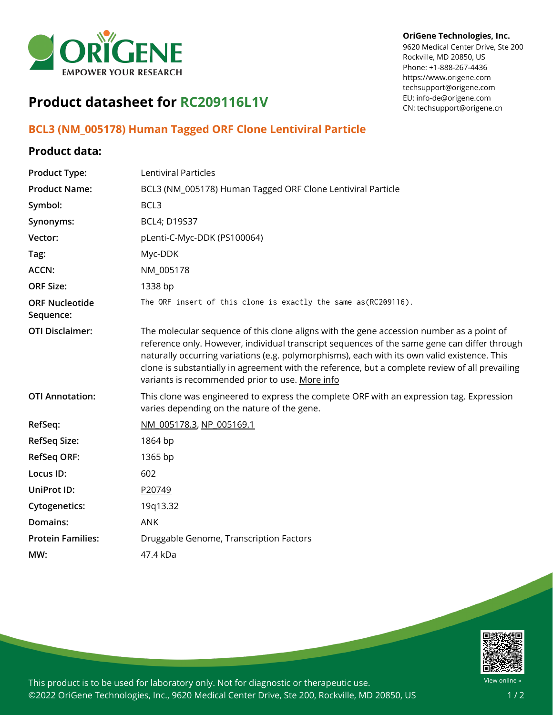

## **OriGene Technologies, Inc.**

9620 Medical Center Drive, Ste 200 Rockville, MD 20850, US Phone: +1-888-267-4436 https://www.origene.com techsupport@origene.com EU: info-de@origene.com CN: techsupport@origene.cn

## **Product datasheet for RC209116L1V**

## **BCL3 (NM\_005178) Human Tagged ORF Clone Lentiviral Particle**

## **Product data:**

| <b>Product Type:</b>               | Lentiviral Particles                                                                                                                                                                                                                                                                                                                                                                                                                           |
|------------------------------------|------------------------------------------------------------------------------------------------------------------------------------------------------------------------------------------------------------------------------------------------------------------------------------------------------------------------------------------------------------------------------------------------------------------------------------------------|
| <b>Product Name:</b>               | BCL3 (NM_005178) Human Tagged ORF Clone Lentiviral Particle                                                                                                                                                                                                                                                                                                                                                                                    |
| Symbol:                            | BCL3                                                                                                                                                                                                                                                                                                                                                                                                                                           |
| Synonyms:                          | BCL4; D19S37                                                                                                                                                                                                                                                                                                                                                                                                                                   |
| Vector:                            | pLenti-C-Myc-DDK (PS100064)                                                                                                                                                                                                                                                                                                                                                                                                                    |
| Tag:                               | Myc-DDK                                                                                                                                                                                                                                                                                                                                                                                                                                        |
| ACCN:                              | NM_005178                                                                                                                                                                                                                                                                                                                                                                                                                                      |
| <b>ORF Size:</b>                   | 1338 bp                                                                                                                                                                                                                                                                                                                                                                                                                                        |
| <b>ORF Nucleotide</b><br>Sequence: | The ORF insert of this clone is exactly the same as(RC209116).                                                                                                                                                                                                                                                                                                                                                                                 |
| <b>OTI Disclaimer:</b>             | The molecular sequence of this clone aligns with the gene accession number as a point of<br>reference only. However, individual transcript sequences of the same gene can differ through<br>naturally occurring variations (e.g. polymorphisms), each with its own valid existence. This<br>clone is substantially in agreement with the reference, but a complete review of all prevailing<br>variants is recommended prior to use. More info |
| <b>OTI Annotation:</b>             | This clone was engineered to express the complete ORF with an expression tag. Expression<br>varies depending on the nature of the gene.                                                                                                                                                                                                                                                                                                        |
| RefSeq:                            | NM 005178.3, NP 005169.1                                                                                                                                                                                                                                                                                                                                                                                                                       |
| <b>RefSeq Size:</b>                | 1864 bp                                                                                                                                                                                                                                                                                                                                                                                                                                        |
| <b>RefSeq ORF:</b>                 | 1365 bp                                                                                                                                                                                                                                                                                                                                                                                                                                        |
| Locus ID:                          | 602                                                                                                                                                                                                                                                                                                                                                                                                                                            |
| UniProt ID:                        | P20749                                                                                                                                                                                                                                                                                                                                                                                                                                         |
| <b>Cytogenetics:</b>               | 19q13.32                                                                                                                                                                                                                                                                                                                                                                                                                                       |
| Domains:                           | <b>ANK</b>                                                                                                                                                                                                                                                                                                                                                                                                                                     |
| <b>Protein Families:</b>           | Druggable Genome, Transcription Factors                                                                                                                                                                                                                                                                                                                                                                                                        |
| MW:                                | 47.4 kDa                                                                                                                                                                                                                                                                                                                                                                                                                                       |
|                                    |                                                                                                                                                                                                                                                                                                                                                                                                                                                |



This product is to be used for laboratory only. Not for diagnostic or therapeutic use. ©2022 OriGene Technologies, Inc., 9620 Medical Center Drive, Ste 200, Rockville, MD 20850, US